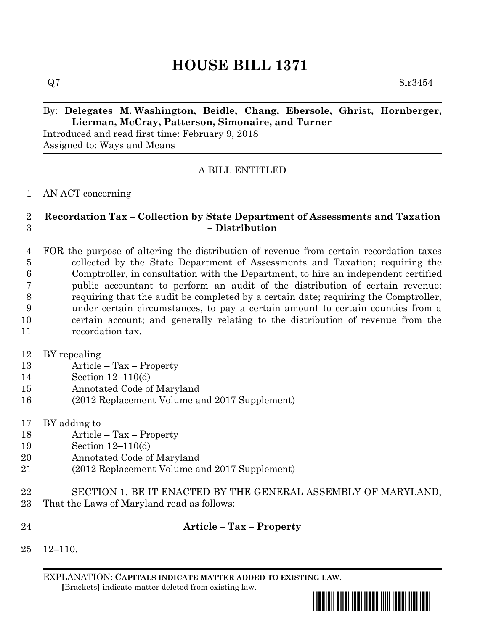# **HOUSE BILL 1371**

 $Q7 \hspace{3cm} 8\text{lr}3454$ 

### By: **Delegates M. Washington, Beidle, Chang, Ebersole, Ghrist, Hornberger, Lierman, McCray, Patterson, Simonaire, and Turner**

Introduced and read first time: February 9, 2018 Assigned to: Ways and Means

## A BILL ENTITLED

#### AN ACT concerning

#### **Recordation Tax – Collection by State Department of Assessments and Taxation – Distribution**

 FOR the purpose of altering the distribution of revenue from certain recordation taxes collected by the State Department of Assessments and Taxation; requiring the Comptroller, in consultation with the Department, to hire an independent certified public accountant to perform an audit of the distribution of certain revenue; requiring that the audit be completed by a certain date; requiring the Comptroller, under certain circumstances, to pay a certain amount to certain counties from a certain account; and generally relating to the distribution of revenue from the recordation tax.

BY repealing

- Article Tax Property
- Section 12–110(d)
- Annotated Code of Maryland
- (2012 Replacement Volume and 2017 Supplement)
- BY adding to
- Article Tax Property
- Section 12–110(d)
- Annotated Code of Maryland
- (2012 Replacement Volume and 2017 Supplement)
- SECTION 1. BE IT ENACTED BY THE GENERAL ASSEMBLY OF MARYLAND,
- That the Laws of Maryland read as follows:
- 

**Article – Tax – Property**

12–110.

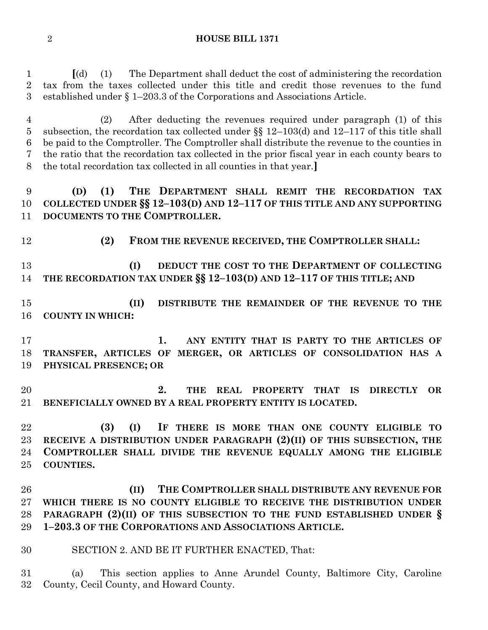#### **HOUSE BILL 1371**

 **[**(d) (1) The Department shall deduct the cost of administering the recordation tax from the taxes collected under this title and credit those revenues to the fund established under § 1–203.3 of the Corporations and Associations Article.

 (2) After deducting the revenues required under paragraph (1) of this subsection, the recordation tax collected under §§ 12–103(d) and 12–117 of this title shall be paid to the Comptroller. The Comptroller shall distribute the revenue to the counties in the ratio that the recordation tax collected in the prior fiscal year in each county bears to the total recordation tax collected in all counties in that year.**]**

 **(D) (1) THE DEPARTMENT SHALL REMIT THE RECORDATION TAX COLLECTED UNDER §§ 12–103(D) AND 12–117 OF THIS TITLE AND ANY SUPPORTING DOCUMENTS TO THE COMPTROLLER.**

**(2) FROM THE REVENUE RECEIVED, THE COMPTROLLER SHALL:**

 **(I) DEDUCT THE COST TO THE DEPARTMENT OF COLLECTING THE RECORDATION TAX UNDER §§ 12–103(D) AND 12–117 OF THIS TITLE; AND**

 **(II) DISTRIBUTE THE REMAINDER OF THE REVENUE TO THE COUNTY IN WHICH:**

 **1. ANY ENTITY THAT IS PARTY TO THE ARTICLES OF TRANSFER, ARTICLES OF MERGER, OR ARTICLES OF CONSOLIDATION HAS A PHYSICAL PRESENCE; OR**

 **2. THE REAL PROPERTY THAT IS DIRECTLY OR BENEFICIALLY OWNED BY A REAL PROPERTY ENTITY IS LOCATED.**

 **(3) (I) IF THERE IS MORE THAN ONE COUNTY ELIGIBLE TO RECEIVE A DISTRIBUTION UNDER PARAGRAPH (2)(II) OF THIS SUBSECTION, THE COMPTROLLER SHALL DIVIDE THE REVENUE EQUALLY AMONG THE ELIGIBLE COUNTIES.**

 **(II) THE COMPTROLLER SHALL DISTRIBUTE ANY REVENUE FOR WHICH THERE IS NO COUNTY ELIGIBLE TO RECEIVE THE DISTRIBUTION UNDER PARAGRAPH (2)(II) OF THIS SUBSECTION TO THE FUND ESTABLISHED UNDER § 1–203.3 OF THE CORPORATIONS AND ASSOCIATIONS ARTICLE.**

SECTION 2. AND BE IT FURTHER ENACTED, That:

 (a) This section applies to Anne Arundel County, Baltimore City, Caroline County, Cecil County, and Howard County.